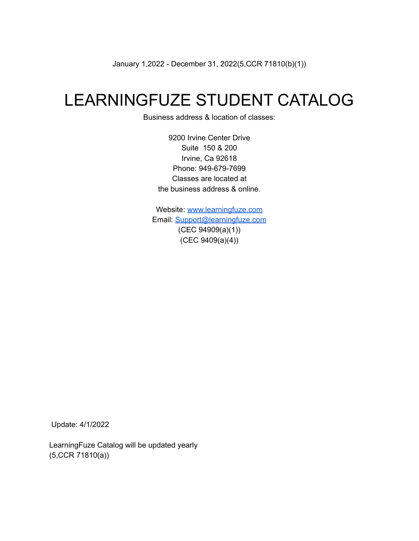January 1,2022 - December 31, 2022(5,CCR 71810(b)(1))

# LEARNINGFUZE STUDENT CATALOG

Business address & location of classes:

9200 Irvine Center Drive Suite 150 & 200 Irvine, Ca 92618 Phone: 949-679-7699 Classes are located at the business address & online.

Website: [www.learningfuze.com](http://www.learningfuze.com) Email: [Support@learningfuze.com](mailto:Support@learningfuze.com) (CEC 94909(a)(1)) (CEC 9409(a)(4))

Update: 4/1/2022

LearningFuze Catalog will be updated yearly (5,CCR 71810(a))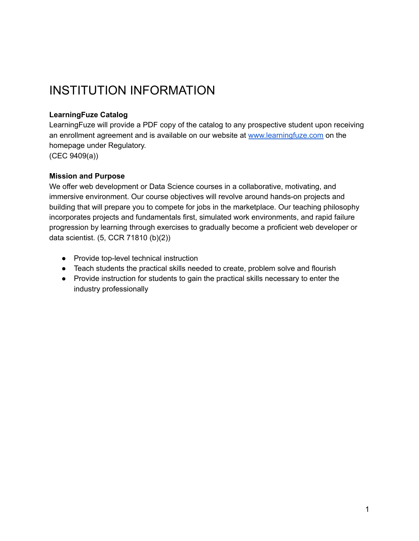# INSTITUTION INFORMATION

## **LearningFuze Catalog**

LearningFuze will provide a PDF copy of the catalog to any prospective student upon receiving an enrollment agreement and is available on our website at [www.learningfuze.com](http://www.learningfuze.com) on the homepage under Regulatory.

(CEC 9409(a))

### **Mission and Purpose**

We offer web development or Data Science courses in a collaborative, motivating, and immersive environment. Our course objectives will revolve around hands-on projects and building that will prepare you to compete for jobs in the marketplace. Our teaching philosophy incorporates projects and fundamentals first, simulated work environments, and rapid failure progression by learning through exercises to gradually become a proficient web developer or data scientist. (5, CCR 71810 (b)(2))

- Provide top-level technical instruction
- Teach students the practical skills needed to create, problem solve and flourish
- Provide instruction for students to gain the practical skills necessary to enter the industry professionally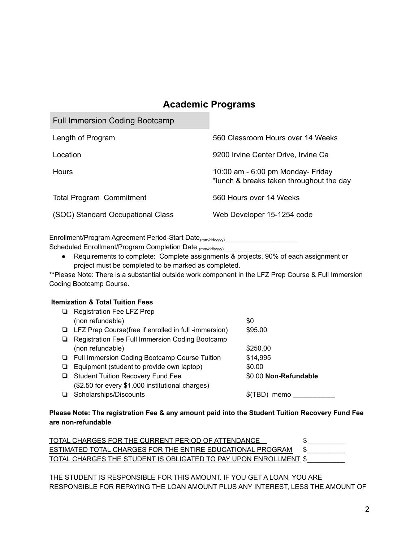# **Academic Programs**

Full Immersion Coding Bootcamp

| Length of Program                 | 560 Classroom Hours over 14 Weeks                                             |
|-----------------------------------|-------------------------------------------------------------------------------|
| Location                          | 9200 Irvine Center Drive, Irvine Ca                                           |
| Hours                             | 10:00 am - 6:00 pm Monday- Friday<br>*lunch & breaks taken throughout the day |
| <b>Total Program Commitment</b>   | 560 Hours over 14 Weeks                                                       |
| (SOC) Standard Occupational Class | Web Developer 15-1254 code                                                    |

Enrollment/Program Agreement Period-Start Date<sub>(mm/dd/yyyy)</sub>\_\_\_\_\_\_\_\_\_\_\_\_\_\_\_\_\_\_\_\_\_

Scheduled Enrollment/Program Completion Date (mm/dd/yyyy)\_\_\_\_\_\_\_\_\_\_\_\_\_\_\_\_\_\_\_\_\_\_\_

● Requirements to complete: Complete assignments & projects. 90% of each assignment or project must be completed to be marked as completed.

\*\*Please Note: There is a substantial outside work component in the LFZ Prep Course & Full Immersion Coding Bootcamp Course.

#### **Itemization & Total Tuition Fees**

|   | <b>Registration Fee LFZ Prep</b>                            |                       |
|---|-------------------------------------------------------------|-----------------------|
|   | (non refundable)                                            | \$0                   |
|   | $\Box$ LFZ Prep Course(free if enrolled in full -immersion) | \$95.00               |
|   | Registration Fee Full Immersion Coding Bootcamp             |                       |
|   | (non refundable)                                            | \$250.00              |
|   | □ Full Immersion Coding Bootcamp Course Tuition             | \$14,995              |
| ⊔ | Equipment (student to provide own laptop)                   | \$0.00                |
| ⊔ | <b>Student Tuition Recovery Fund Fee</b>                    | \$0.00 Non-Refundable |
|   | (\$2.50 for every \$1,000 institutional charges)            |                       |
|   | Scholarships/Discounts                                      | nemo                  |

#### **Please Note: The registration Fee & any amount paid into the Student Tuition Recovery Fund Fee are non-refundable**

| TOTAL CHARGES FOR THE CURRENT PERIOD OF ATTENDANCE                      |  |
|-------------------------------------------------------------------------|--|
| ESTIMATED TOTAL CHARGES FOR THE ENTIRE EDUCATIONAL PROGRAM              |  |
| <u>TOTAL CHARGES THE STUDENT IS OBLIGATED TO PAY UPON ENROLLMENT \$</u> |  |

THE STUDENT IS RESPONSIBLE FOR THIS AMOUNT. IF YOU GET A LOAN, YOU ARE RESPONSIBLE FOR REPAYING THE LOAN AMOUNT PLUS ANY INTEREST, LESS THE AMOUNT OF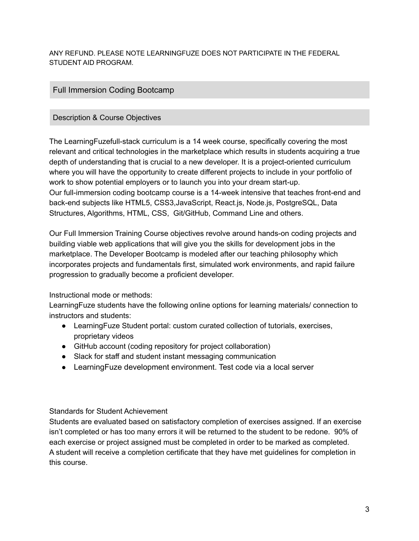ANY REFUND. PLEASE NOTE LEARNINGFUZE DOES NOT PARTICIPATE IN THE FEDERAL STUDENT AID PROGRAM.

# Full Immersion Coding Bootcamp

## Description & Course Objectives

The LearningFuzefull-stack curriculum is a 14 week course, specifically covering the most relevant and critical technologies in the marketplace which results in students acquiring a true depth of understanding that is crucial to a new developer. It is a project-oriented curriculum where you will have the opportunity to create different projects to include in your portfolio of work to show potential employers or to launch you into your dream start-up. Our full-immersion coding bootcamp course is a 14-week intensive that teaches front-end and back-end subjects like HTML5, CSS3,JavaScript, React.js, Node.js, PostgreSQL, Data Structures, Algorithms, HTML, CSS, Git/GitHub, Command Line and others.

Our Full Immersion Training Course objectives revolve around hands-on coding projects and building viable web applications that will give you the skills for development jobs in the marketplace. The Developer Bootcamp is modeled after our teaching philosophy which incorporates projects and fundamentals first, simulated work environments, and rapid failure progression to gradually become a proficient developer.

## Instructional mode or methods:

LearningFuze students have the following online options for learning materials/ connection to instructors and students:

- LearningFuze Student portal: custom curated collection of tutorials, exercises, proprietary videos
- GitHub account (coding repository for project collaboration)
- Slack for staff and student instant messaging communication
- Learning Fuze development environment. Test code via a local server

## Standards for Student Achievement

Students are evaluated based on satisfactory completion of exercises assigned. If an exercise isn't completed or has too many errors it will be returned to the student to be redone. 90% of each exercise or project assigned must be completed in order to be marked as completed. A student will receive a completion certificate that they have met guidelines for completion in this course.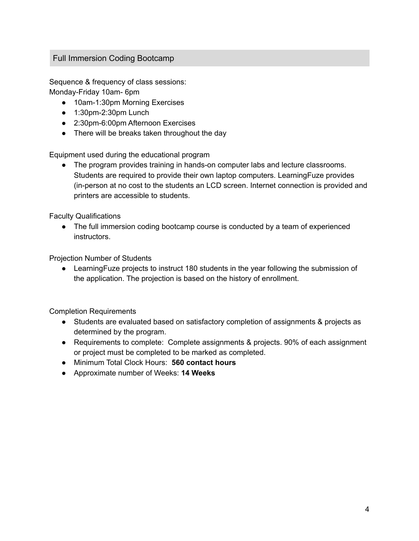# Full Immersion Coding Bootcamp

Sequence & frequency of class sessions: Monday-Friday 10am- 6pm

- 10am-1:30pm Morning Exercises
- 1:30pm-2:30pm Lunch
- 2:30pm-6:00pm Afternoon Exercises
- There will be breaks taken throughout the day

Equipment used during the educational program

● The program provides training in hands-on computer labs and lecture classrooms. Students are required to provide their own laptop computers. LearningFuze provides (in-person at no cost to the students an LCD screen. Internet connection is provided and printers are accessible to students.

Faculty Qualifications

● The full immersion coding bootcamp course is conducted by a team of experienced instructors.

Projection Number of Students

● LearningFuze projects to instruct 180 students in the year following the submission of the application. The projection is based on the history of enrollment.

Completion Requirements

- Students are evaluated based on satisfactory completion of assignments & projects as determined by the program.
- Requirements to complete: Complete assignments & projects. 90% of each assignment or project must be completed to be marked as completed.
- Minimum Total Clock Hours: **560 contact hours**
- Approximate number of Weeks: **14 Weeks**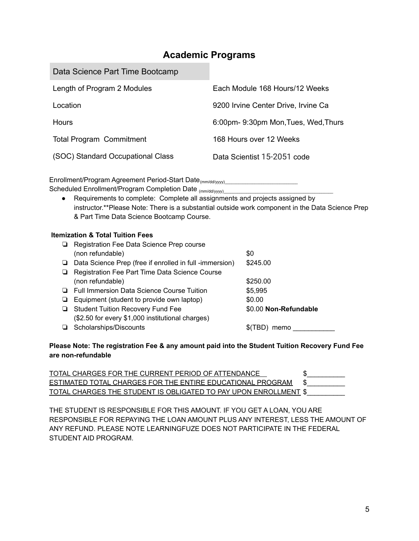# **Academic Programs**

| Data Science Part Time Bootcamp   |                                     |
|-----------------------------------|-------------------------------------|
| Length of Program 2 Modules       | Each Module 168 Hours/12 Weeks      |
| Location                          | 9200 Irvine Center Drive, Irvine Ca |
| <b>Hours</b>                      | 6:00pm-9:30pm Mon, Tues, Wed, Thurs |
| <b>Total Program Commitment</b>   | 168 Hours over 12 Weeks             |
| (SOC) Standard Occupational Class | Data Scientist 15-2051 code         |

Enrollment/Program Agreement Period-Start Date<sub>(mm/dd/yyyy)</sub>\_\_\_\_\_\_\_\_\_\_\_\_\_\_\_\_\_\_\_\_\_ Scheduled Enrollment/Program Completion Date (mm/dd/yyyy)

● Requirements to complete: Complete all assignments and projects assigned by instructor.\*\*Please Note: There is a substantial outside work component in the Data Science Prep & Part Time Data Science Bootcamp Course.

#### **Itemization & Total Tuition Fees**

#### **Please Note: The registration Fee & any amount paid into the Student Tuition Recovery Fund Fee are non-refundable**

| TOTAL CHARGES FOR THE CURRENT PERIOD OF ATTENDANCE                      |  |
|-------------------------------------------------------------------------|--|
| <u>ESTIMATED TOTAL CHARGES FOR THE ENTIRE EDUCATIONAL PROGRAM</u>       |  |
| <u>TOTAL CHARGES THE STUDENT IS OBLIGATED TO PAY UPON ENROLLMENT \$</u> |  |

THE STUDENT IS RESPONSIBLE FOR THIS AMOUNT. IF YOU GET A LOAN, YOU ARE RESPONSIBLE FOR REPAYING THE LOAN AMOUNT PLUS ANY INTEREST, LESS THE AMOUNT OF ANY REFUND. PLEASE NOTE LEARNINGFUZE DOES NOT PARTICIPATE IN THE FEDERAL STUDENT AID PROGRAM.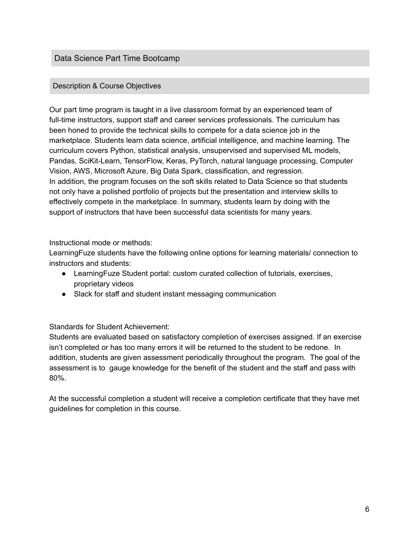## Data Science Part Time Bootcamp

### Description & Course Objectives

Our part time program is taught in a live classroom format by an experienced team of full-time instructors, support staff and career services professionals. The curriculum has been honed to provide the technical skills to compete for a data science job in the marketplace. Students learn data science, artificial intelligence, and machine learning. The curriculum covers Python, statistical analysis, unsupervised and supervised ML models, Pandas, SciKit-Learn, TensorFlow, Keras, PyTorch, natural language processing, Computer Vision, AWS, Microsoft Azure, Big Data Spark, classification, and regression. In addition, the program focuses on the soft skills related to Data Science so that students not only have a polished portfolio of projects but the presentation and interview skills to effectively compete in the marketplace. In summary, students learn by doing with the support of instructors that have been successful data scientists for many years.

Instructional mode or methods:

LearningFuze students have the following online options for learning materials/ connection to instructors and students:

- LearningFuze Student portal: custom curated collection of tutorials, exercises, proprietary videos
- Slack for staff and student instant messaging communication

Standards for Student Achievement:

Students are evaluated based on satisfactory completion of exercises assigned. If an exercise isn't completed or has too many errors it will be returned to the student to be redone. In addition, students are given assessment periodically throughout the program. The goal of the assessment is to gauge knowledge for the benefit of the student and the staff and pass with 80%.

At the successful completion a student will receive a completion certificate that they have met guidelines for completion in this course.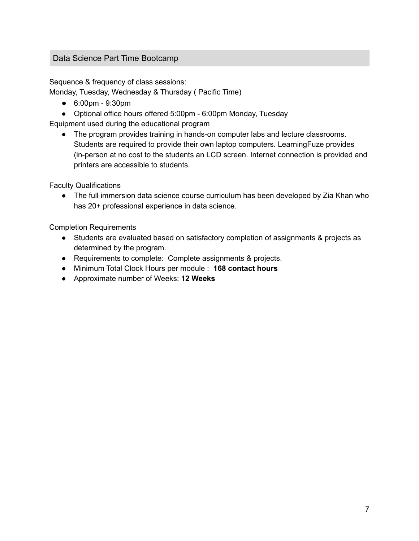# Data Science Part Time Bootcamp

Sequence & frequency of class sessions:

Monday, Tuesday, Wednesday & Thursday ( Pacific Time)

- 6:00pm 9:30pm
- Optional office hours offered 5:00pm 6:00pm Monday, Tuesday

Equipment used during the educational program

● The program provides training in hands-on computer labs and lecture classrooms. Students are required to provide their own laptop computers. LearningFuze provides (in-person at no cost to the students an LCD screen. Internet connection is provided and printers are accessible to students.

Faculty Qualifications

• The full immersion data science course curriculum has been developed by Zia Khan who has 20+ professional experience in data science.

Completion Requirements

- Students are evaluated based on satisfactory completion of assignments & projects as determined by the program.
- Requirements to complete: Complete assignments & projects.
- Minimum Total Clock Hours per module : **168 contact hours**
- Approximate number of Weeks: **12 Weeks**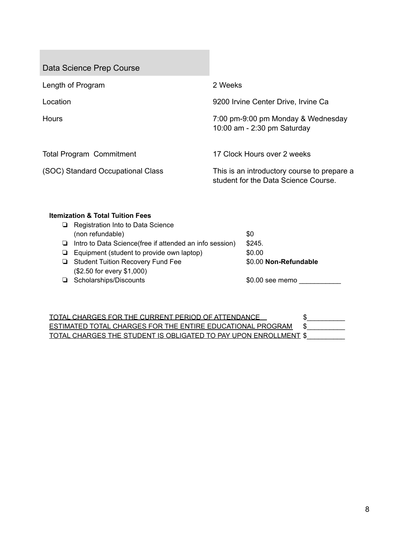Data Science Prep Course

| Length of Program                 | 2 Weeks                                                                             |
|-----------------------------------|-------------------------------------------------------------------------------------|
| Location                          | 9200 Irvine Center Drive, Irvine Ca                                                 |
| <b>Hours</b>                      | 7:00 pm-9:00 pm Monday & Wednesday<br>10:00 am - 2:30 pm Saturday                   |
| <b>Total Program Commitment</b>   | 17 Clock Hours over 2 weeks                                                         |
| (SOC) Standard Occupational Class | This is an introductory course to prepare a<br>student for the Data Science Course. |

# **Itemization & Total Tuition Fees**

|            | Registration Into to Data Science                               |                       |
|------------|-----------------------------------------------------------------|-----------------------|
|            | (non refundable)                                                | \$0                   |
|            | $\Box$ Intro to Data Science (free if attended an info session) | \$245.                |
|            | $\Box$ Equipment (student to provide own laptop)                | \$0.00                |
|            | Student Tuition Recovery Fund Fee                               | \$0.00 Non-Refundable |
|            | (\$2.50 for every \$1,000)                                      |                       |
| <b>D</b> 3 | Scholarships/Discounts                                          | \$0.00 see memo       |

| TOTAL CHARGES FOR THE CURRENT PERIOD OF ATTENDANCE                |  |
|-------------------------------------------------------------------|--|
| <b>ESTIMATED TOTAL CHARGES FOR THE ENTIRE EDUCATIONAL PROGRAM</b> |  |
| TOTAL CHARGES THE STUDENT IS OBLIGATED TO PAY UPON ENROLLMENT \$  |  |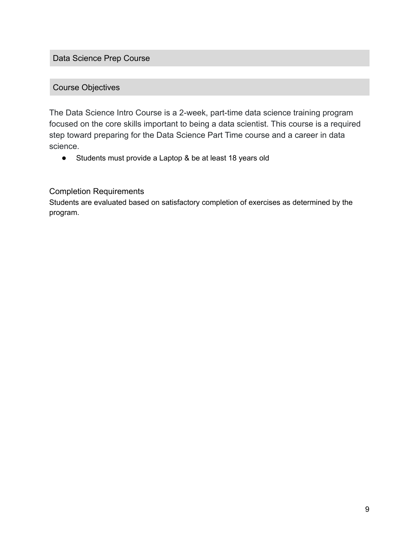Data Science Prep Course

# Course Objectives

The Data Science Intro Course is a 2-week, part-time data science training program focused on the core skills important to being a data scientist. This course is a required step toward preparing for the Data Science Part Time course and a career in data science.

● Students must provide a Laptop & be at least 18 years old

# Completion Requirements

Students are evaluated based on satisfactory completion of exercises as determined by the program.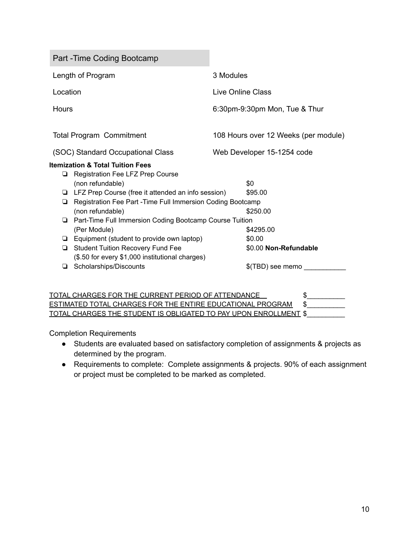Part -Time Coding Bootcamp Length of Program 3 Modules Location Live Online Class Hours 6:30pm-9:30pm Mon, Tue & Thur Total Program Commitment 108 Hours over 12 Weeks (per module) (SOC) Standard Occupational Class Web Developer 15-1254 code **Itemization & Total Tuition Fees** ❏ Registration Fee LFZ Prep Course (non refundable)  $$0$ ❏ LFZ Prep Course (free it attended an info session) \$95.00 ❏ Registration Fee Part -Time Full Immersion Coding Bootcamp (non refundable) \$250.00 ❏ Part-Time Full Immersion Coding Bootcamp Course Tuition (Per Module) \$4295.00 ❏ Equipment (student to provide own laptop) \$0.00 ❏ Student Tuition Recovery Fund Fee \$0.00 **Non-Refundable** (\$.50 for every \$1,000 institutional charges) ❏ Scholarships/Discounts \$(TBD) see memo \_\_\_\_\_\_\_\_\_\_\_

| TOTAL CHARGES FOR THE CURRENT PERIOD OF ATTENDANCE                      |  |
|-------------------------------------------------------------------------|--|
| ESTIMATED TOTAL CHARGES FOR THE ENTIRE EDUCATIONAL PROGRAM              |  |
| <u>TOTAL CHARGES THE STUDENT IS OBLIGATED TO PAY UPON ENROLLMENT \$</u> |  |

Completion Requirements

- Students are evaluated based on satisfactory completion of assignments & projects as determined by the program.
- Requirements to complete: Complete assignments & projects. 90% of each assignment or project must be completed to be marked as completed.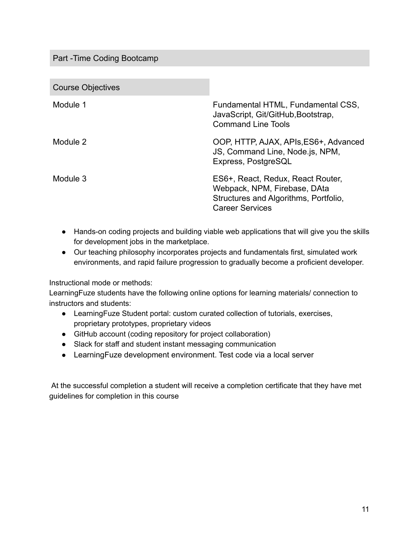# Part -Time Coding Bootcamp

Course Objectives

| <b>OUGIUS ODISSIVUS</b> |                                                                                                                                      |
|-------------------------|--------------------------------------------------------------------------------------------------------------------------------------|
| Module 1                | Fundamental HTML, Fundamental CSS,<br>JavaScript, Git/GitHub, Bootstrap,<br><b>Command Line Tools</b>                                |
| Module 2                | OOP, HTTP, AJAX, APIs, ES6+, Advanced<br>JS, Command Line, Node is, NPM,<br>Express, PostgreSQL                                      |
| Module 3                | ES6+, React, Redux, React Router,<br>Webpack, NPM, Firebase, DAta<br>Structures and Algorithms, Portfolio,<br><b>Career Services</b> |

- Hands-on coding projects and building viable web applications that will give you the skills for development jobs in the marketplace.
- Our teaching philosophy incorporates projects and fundamentals first, simulated work environments, and rapid failure progression to gradually become a proficient developer.

Instructional mode or methods:

LearningFuze students have the following online options for learning materials/ connection to instructors and students:

- LearningFuze Student portal: custom curated collection of tutorials, exercises, proprietary prototypes, proprietary videos
- GitHub account (coding repository for project collaboration)
- Slack for staff and student instant messaging communication
- LearningFuze development environment. Test code via a local server

At the successful completion a student will receive a completion certificate that they have met guidelines for completion in this course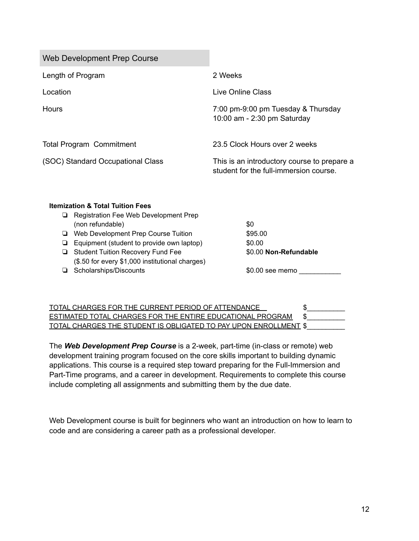| <b>Web Development Prep Course</b>                           |                                                                                       |
|--------------------------------------------------------------|---------------------------------------------------------------------------------------|
| Length of Program                                            | 2 Weeks                                                                               |
| Location                                                     | Live Online Class                                                                     |
| Hours                                                        | 7:00 pm-9:00 pm Tuesday & Thursday<br>10:00 am - 2:30 pm Saturday                     |
| <b>Total Program Commitment</b>                              | 23.5 Clock Hours over 2 weeks                                                         |
| (SOC) Standard Occupational Class                            | This is an introductory course to prepare a<br>student for the full-immersion course. |
| <b>Itemization &amp; Total Tuition Fees</b>                  |                                                                                       |
| Registration Fee Web Development Prep<br>⊔                   | \$0                                                                                   |
| (non refundable)<br>Web Development Prep Course Tuition<br>❏ | \$95.00                                                                               |
| Equipment (student to provide own laptop)<br>❏               | \$0.00                                                                                |

❏ Student Tuition Recovery Fund Fee \$0.00 **Non-Refundable** (\$.50 for every \$1,000 institutional charges) ❏ Scholarships/Discounts \$0.00 see memo \_\_\_\_\_\_\_\_\_\_\_

| TOTAL CHARGES FOR THE CURRENT PERIOD OF ATTENDANCE                      |  |
|-------------------------------------------------------------------------|--|
| ESTIMATED TOTAL CHARGES FOR THE ENTIRE EDUCATIONAL PROGRAM              |  |
| <u>TOTAL CHARGES THE STUDENT IS OBLIGATED TO PAY UPON ENROLLMENT \$</u> |  |

The *Web Development Prep Course* is a 2-week, part-time (in-class or remote) web development training program focused on the core skills important to building dynamic applications. This course is a required step toward preparing for the Full-Immersion and Part-Time programs, and a career in development. Requirements to complete this course include completing all assignments and submitting them by the due date.

Web Development course is built for beginners who want an introduction on how to learn to code and are considering a career path as a professional developer.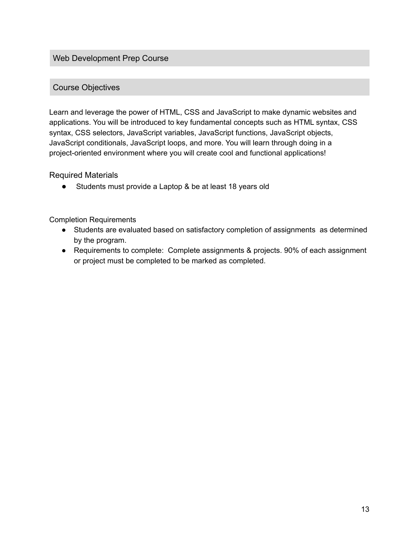## Web Development Prep Course

# Course Objectives

Learn and leverage the power of HTML, CSS and JavaScript to make dynamic websites and applications. You will be introduced to key fundamental concepts such as HTML syntax, CSS syntax, CSS selectors, JavaScript variables, JavaScript functions, JavaScript objects, JavaScript conditionals, JavaScript loops, and more. You will learn through doing in a project-oriented environment where you will create cool and functional applications!

#### Required Materials

● Students must provide a Laptop & be at least 18 years old

#### Completion Requirements

- Students are evaluated based on satisfactory completion of assignments as determined by the program.
- Requirements to complete: Complete assignments & projects. 90% of each assignment or project must be completed to be marked as completed.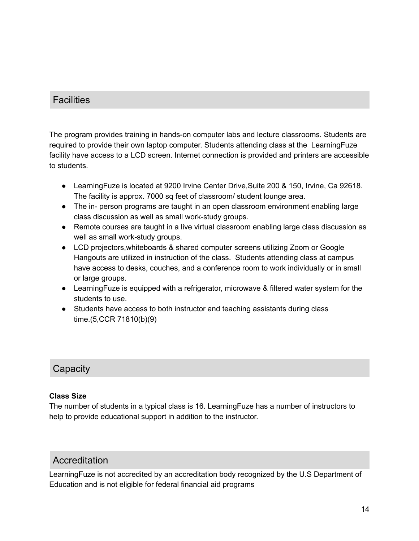# **Facilities**

The program provides training in hands-on computer labs and lecture classrooms. Students are required to provide their own laptop computer. Students attending class at the LearningFuze facility have access to a LCD screen. Internet connection is provided and printers are accessible to students.

- LearningFuze is located at 9200 Irvine Center Drive,Suite 200 & 150, Irvine, Ca 92618. The facility is approx. 7000 sq feet of classroom/ student lounge area.
- The in- person programs are taught in an open classroom environment enabling large class discussion as well as small work-study groups.
- Remote courses are taught in a live virtual classroom enabling large class discussion as well as small work-study groups.
- LCD projectors,whiteboards & shared computer screens utilizing Zoom or Google Hangouts are utilized in instruction of the class. Students attending class at campus have access to desks, couches, and a conference room to work individually or in small or large groups.
- LearningFuze is equipped with a refrigerator, microwave & filtered water system for the students to use.
- Students have access to both instructor and teaching assistants during class time.(5,CCR 71810(b)(9)

# **Capacity**

## **Class Size**

The number of students in a typical class is 16. LearningFuze has a number of instructors to help to provide educational support in addition to the instructor.

# Accreditation

LearningFuze is not accredited by an accreditation body recognized by the U.S Department of Education and is not eligible for federal financial aid programs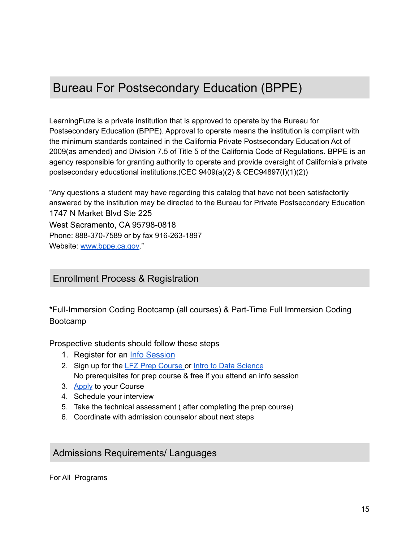# Bureau For Postsecondary Education (BPPE)

LearningFuze is a private institution that is approved to operate by the Bureau for Postsecondary Education (BPPE). Approval to operate means the institution is compliant with the minimum standards contained in the California Private Postsecondary Education Act of 2009(as amended) and Division 7.5 of Title 5 of the California Code of Regulations. BPPE is an agency responsible for granting authority to operate and provide oversight of California's private postsecondary educational institutions.(CEC 9409(a)(2) & CEC94897(I)(1)(2))

"Any questions a student may have regarding this catalog that have not been satisfactorily answered by the institution may be directed to the Bureau for Private Postsecondary Education 1747 N Market Blvd Ste 225 West Sacramento, CA 95798-0818 Phone: 888-370-7589 or by fax 916-263-1897 Website: [www.bppe.ca.gov.](http://www.bppe.ca.gov)"

# Enrollment Process & Registration

\*Full-Immersion Coding Bootcamp (all courses) & Part-Time Full Immersion Coding Bootcamp

## Prospective students should follow these steps

- 1. Register for an [Info Session](https://learningfuze.com/info-session)
- 2. Sign up for the LFZ Prep [Course](https://learningfuze.com/prep-course) or Intro to Data [Science](https://learningfuze.com/intro-to-data-science) No prerequisites for prep course & free if you attend an info session
- 3. [Apply](https://learningfuze.com/) to your Course
- 4. Schedule your interview
- 5. Take the technical assessment ( after completing the prep course)
- 6. Coordinate with admission counselor about next steps

# Admissions Requirements/ Languages

For All Programs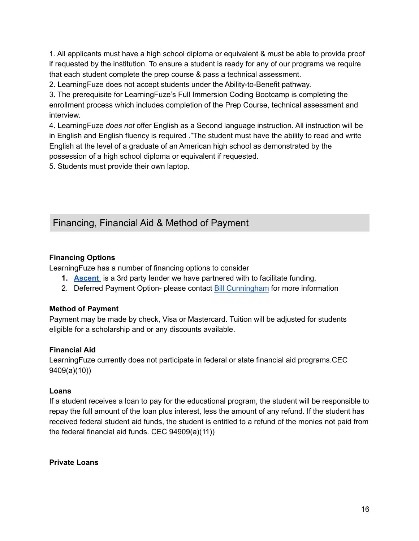1. All applicants must have a high school diploma or equivalent & must be able to provide proof if requested by the institution. To ensure a student is ready for any of our programs we require that each student complete the prep course & pass a technical assessment.

2. LearningFuze does not accept students under the Ability-to-Benefit pathway.

3. The prerequisite for LearningFuze's Full Immersion Coding Bootcamp is completing the enrollment process which includes completion of the Prep Course, technical assessment and interview.

4. LearningFuze *does not* offer English as a Second language instruction. All instruction will be in English and English fluency is required ."The student must have the ability to read and write English at the level of a graduate of an American high school as demonstrated by the possession of a high school diploma or equivalent if requested.

5. Students must provide their own laptop.

# Financing, Financial Aid & Method of Payment

# **Financing Options**

LearningFuze has a number of financing options to consider

- **1. [Ascent](https://partner.ascentfunding.com/learningfuze/)** is a 3rd party lender we have partnered with to facilitate funding.
- 2. Deferred Payment Option- please contact Bill [Cunningham](mailto:bill.cunningham@learningfuze.com) for more information

## **Method of Payment**

Payment may be made by check, Visa or Mastercard. Tuition will be adjusted for students eligible for a scholarship and or any discounts available.

## **Financial Aid**

LearningFuze currently does not participate in federal or state financial aid programs.CEC 9409(a)(10))

## **Loans**

If a student receives a loan to pay for the educational program, the student will be responsible to repay the full amount of the loan plus interest, less the amount of any refund. If the student has received federal student aid funds, the student is entitled to a refund of the monies not paid from the federal financial aid funds. CEC 94909(a)(11))

**Private Loans**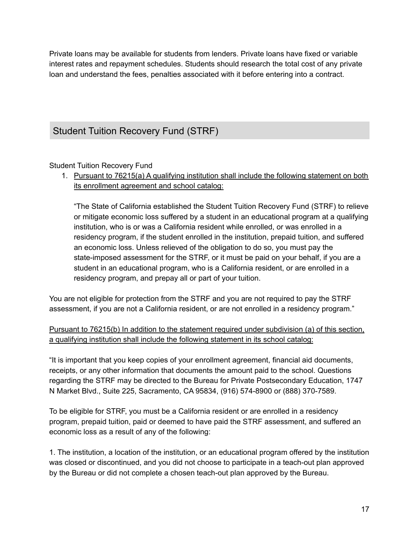Private loans may be available for students from lenders. Private loans have fixed or variable interest rates and repayment schedules. Students should research the total cost of any private loan and understand the fees, penalties associated with it before entering into a contract.

# Student Tuition Recovery Fund (STRF)

Student Tuition Recovery Fund

1. Pursuant to 76215(a) A qualifying institution shall include the following statement on both its enrollment agreement and school catalog:

"The State of California established the Student Tuition Recovery Fund (STRF) to relieve or mitigate economic loss suffered by a student in an educational program at a qualifying institution, who is or was a California resident while enrolled, or was enrolled in a residency program, if the student enrolled in the institution, prepaid tuition, and suffered an economic loss. Unless relieved of the obligation to do so, you must pay the state-imposed assessment for the STRF, or it must be paid on your behalf, if you are a student in an educational program, who is a California resident, or are enrolled in a residency program, and prepay all or part of your tuition.

You are not eligible for protection from the STRF and you are not required to pay the STRF assessment, if you are not a California resident, or are not enrolled in a residency program."

# Pursuant to 76215(b) In addition to the statement required under subdivision (a) of this section, a qualifying institution shall include the following statement in its school catalog:

"It is important that you keep copies of your enrollment agreement, financial aid documents, receipts, or any other information that documents the amount paid to the school. Questions regarding the STRF may be directed to the Bureau for Private Postsecondary Education, 1747 N Market Blvd., Suite 225, Sacramento, CA 95834, (916) 574-8900 or (888) 370-7589.

To be eligible for STRF, you must be a California resident or are enrolled in a residency program, prepaid tuition, paid or deemed to have paid the STRF assessment, and suffered an economic loss as a result of any of the following:

1. The institution, a location of the institution, or an educational program offered by the institution was closed or discontinued, and you did not choose to participate in a teach-out plan approved by the Bureau or did not complete a chosen teach-out plan approved by the Bureau.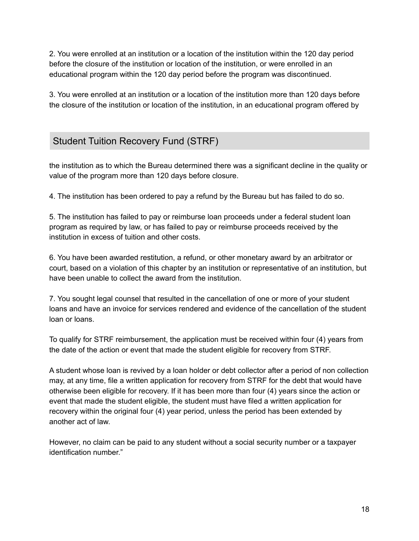2. You were enrolled at an institution or a location of the institution within the 120 day period before the closure of the institution or location of the institution, or were enrolled in an educational program within the 120 day period before the program was discontinued.

3. You were enrolled at an institution or a location of the institution more than 120 days before the closure of the institution or location of the institution, in an educational program offered by

# Student Tuition Recovery Fund (STRF)

the institution as to which the Bureau determined there was a significant decline in the quality or value of the program more than 120 days before closure.

4. The institution has been ordered to pay a refund by the Bureau but has failed to do so.

5. The institution has failed to pay or reimburse loan proceeds under a federal student loan program as required by law, or has failed to pay or reimburse proceeds received by the institution in excess of tuition and other costs.

6. You have been awarded restitution, a refund, or other monetary award by an arbitrator or court, based on a violation of this chapter by an institution or representative of an institution, but have been unable to collect the award from the institution.

7. You sought legal counsel that resulted in the cancellation of one or more of your student loans and have an invoice for services rendered and evidence of the cancellation of the student loan or loans.

To qualify for STRF reimbursement, the application must be received within four (4) years from the date of the action or event that made the student eligible for recovery from STRF.

A student whose loan is revived by a loan holder or debt collector after a period of non collection may, at any time, file a written application for recovery from STRF for the debt that would have otherwise been eligible for recovery. If it has been more than four (4) years since the action or event that made the student eligible, the student must have filed a written application for recovery within the original four (4) year period, unless the period has been extended by another act of law.

However, no claim can be paid to any student without a social security number or a taxpayer identification number."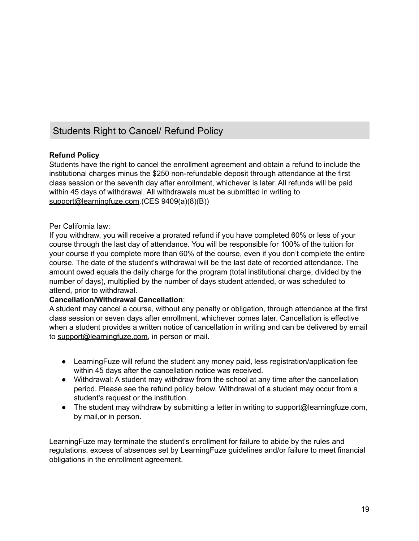# Students Right to Cancel/ Refund Policy

### **Refund Policy**

Students have the right to cancel the enrollment agreement and obtain a refund to include the institutional charges minus the \$250 non-refundable deposit through attendance at the first class session or the seventh day after enrollment, whichever is later. All refunds will be paid within 45 days of withdrawal. All withdrawals must be submitted in writing to [support@learningfuze.com.](mailto:support@learningfuze.com)(CES 9409(a)(8)(B))

#### Per California law:

If you withdraw, you will receive a prorated refund if you have completed 60% or less of your course through the last day of attendance. You will be responsible for 100% of the tuition for your course if you complete more than 60% of the course, even if you don't complete the entire course. The date of the student's withdrawal will be the last date of recorded attendance. The amount owed equals the daily charge for the program (total institutional charge, divided by the number of days), multiplied by the number of days student attended, or was scheduled to attend, prior to withdrawal.

#### **Cancellation/Withdrawal Cancellation**:

A student may cancel a course, without any penalty or obligation, through attendance at the first class session or seven days after enrollment, whichever comes later. Cancellation is effective when a student provides a written notice of cancellation in writing and can be delivered by email to [support@learningfuze.com,](mailto:support@learningfuze.com) in person or mail.

- LearningFuze will refund the student any money paid, less registration/application fee within 45 days after the cancellation notice was received.
- Withdrawal: A student may withdraw from the school at any time after the cancellation period. Please see the refund policy below. Withdrawal of a student may occur from a student's request or the institution.
- The student may withdraw by submitting a letter in writing to support@learningfuze.com, by mail,or in person.

LearningFuze may terminate the student's enrollment for failure to abide by the rules and regulations, excess of absences set by LearningFuze guidelines and/or failure to meet financial obligations in the enrollment agreement.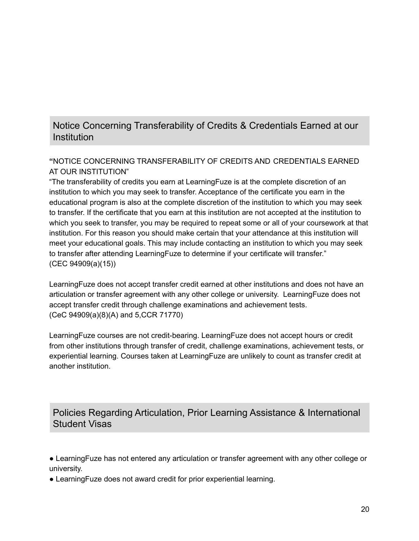# Notice Concerning Transferability of Credits & Credentials Earned at our **Institution**

# **"**NOTICE CONCERNING TRANSFERABILITY OF CREDITS AND CREDENTIALS EARNED AT OUR INSTITUTION"

"The transferability of credits you earn at LearningFuze is at the complete discretion of an institution to which you may seek to transfer. Acceptance of the certificate you earn in the educational program is also at the complete discretion of the institution to which you may seek to transfer. If the certificate that you earn at this institution are not accepted at the institution to which you seek to transfer, you may be required to repeat some or all of your coursework at that institution. For this reason you should make certain that your attendance at this institution will meet your educational goals. This may include contacting an institution to which you may seek to transfer after attending LearningFuze to determine if your certificate will transfer." (CEC 94909(a)(15))

LearningFuze does not accept transfer credit earned at other institutions and does not have an articulation or transfer agreement with any other college or university. LearningFuze does not accept transfer credit through challenge examinations and achievement tests. (CeC 94909(a)(8)(A) and 5,CCR 71770)

LearningFuze courses are not credit-bearing. LearningFuze does not accept hours or credit from other institutions through transfer of credit, challenge examinations, achievement tests, or experiential learning. Courses taken at LearningFuze are unlikely to count as transfer credit at another institution.

Policies Regarding Articulation, Prior Learning Assistance & International Student Visas

● LearningFuze has not entered any articulation or transfer agreement with any other college or university.

● LearningFuze does not award credit for prior experiential learning.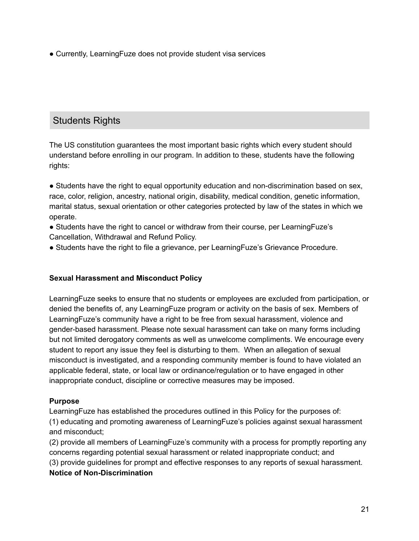• Currently, Learning Fuze does not provide student visa services

# Students Rights

The US constitution guarantees the most important basic rights which every student should understand before enrolling in our program. In addition to these, students have the following rights:

• Students have the right to equal opportunity education and non-discrimination based on sex, race, color, religion, ancestry, national origin, disability, medical condition, genetic information, marital status, sexual orientation or other categories protected by law of the states in which we operate.

● Students have the right to cancel or withdraw from their course, per LearningFuze's Cancellation, Withdrawal and Refund Policy.

● Students have the right to file a grievance, per LearningFuze's Grievance Procedure.

## **Sexual Harassment and Misconduct Policy**

LearningFuze seeks to ensure that no students or employees are excluded from participation, or denied the benefits of, any LearningFuze program or activity on the basis of sex. Members of LearningFuze's community have a right to be free from sexual harassment, violence and gender-based harassment. Please note sexual harassment can take on many forms including but not limited derogatory comments as well as unwelcome compliments. We encourage every student to report any issue they feel is disturbing to them. When an allegation of sexual misconduct is investigated, and a responding community member is found to have violated an applicable federal, state, or local law or ordinance/regulation or to have engaged in other inappropriate conduct, discipline or corrective measures may be imposed.

#### **Purpose**

LearningFuze has established the procedures outlined in this Policy for the purposes of: (1) educating and promoting awareness of LearningFuze's policies against sexual harassment and misconduct;

(2) provide all members of LearningFuze's community with a process for promptly reporting any concerns regarding potential sexual harassment or related inappropriate conduct; and (3) provide guidelines for prompt and effective responses to any reports of sexual harassment. **Notice of Non-Discrimination**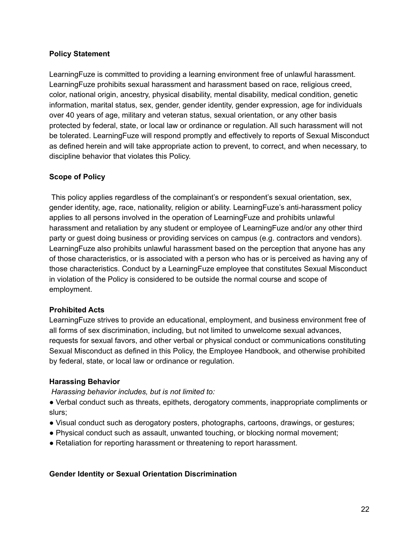### **Policy Statement**

LearningFuze is committed to providing a learning environment free of unlawful harassment. LearningFuze prohibits sexual harassment and harassment based on race, religious creed, color, national origin, ancestry, physical disability, mental disability, medical condition, genetic information, marital status, sex, gender, gender identity, gender expression, age for individuals over 40 years of age, military and veteran status, sexual orientation, or any other basis protected by federal, state, or local law or ordinance or regulation. All such harassment will not be tolerated. LearningFuze will respond promptly and effectively to reports of Sexual Misconduct as defined herein and will take appropriate action to prevent, to correct, and when necessary, to discipline behavior that violates this Policy.

## **Scope of Policy**

This policy applies regardless of the complainant's or respondent's sexual orientation, sex, gender identity, age, race, nationality, religion or ability. LearningFuze's anti-harassment policy applies to all persons involved in the operation of LearningFuze and prohibits unlawful harassment and retaliation by any student or employee of LearningFuze and/or any other third party or guest doing business or providing services on campus (e.g. contractors and vendors). LearningFuze also prohibits unlawful harassment based on the perception that anyone has any of those characteristics, or is associated with a person who has or is perceived as having any of those characteristics. Conduct by a LearningFuze employee that constitutes Sexual Misconduct in violation of the Policy is considered to be outside the normal course and scope of employment.

#### **Prohibited Acts**

LearningFuze strives to provide an educational, employment, and business environment free of all forms of sex discrimination, including, but not limited to unwelcome sexual advances, requests for sexual favors, and other verbal or physical conduct or communications constituting Sexual Misconduct as defined in this Policy, the Employee Handbook, and otherwise prohibited by federal, state, or local law or ordinance or regulation.

#### **Harassing Behavior**

*Harassing behavior includes, but is not limited to:*

● Verbal conduct such as threats, epithets, derogatory comments, inappropriate compliments or slurs;

- Visual conduct such as derogatory posters, photographs, cartoons, drawings, or gestures;
- Physical conduct such as assault, unwanted touching, or blocking normal movement;
- Retaliation for reporting harassment or threatening to report harassment.

#### **Gender Identity or Sexual Orientation Discrimination**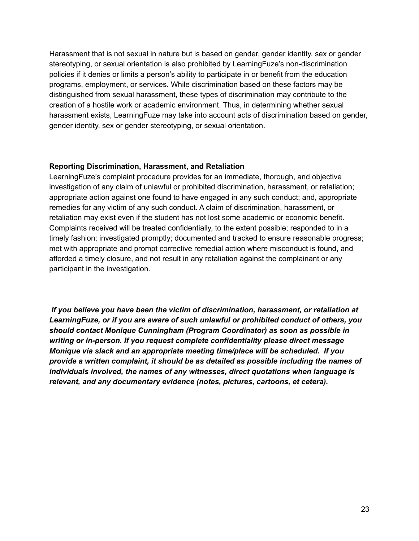Harassment that is not sexual in nature but is based on gender, gender identity, sex or gender stereotyping, or sexual orientation is also prohibited by LearningFuze's non-discrimination policies if it denies or limits a person's ability to participate in or benefit from the education programs, employment, or services. While discrimination based on these factors may be distinguished from sexual harassment, these types of discrimination may contribute to the creation of a hostile work or academic environment. Thus, in determining whether sexual harassment exists, LearningFuze may take into account acts of discrimination based on gender, gender identity, sex or gender stereotyping, or sexual orientation.

#### **Reporting Discrimination, Harassment, and Retaliation**

LearningFuze's complaint procedure provides for an immediate, thorough, and objective investigation of any claim of unlawful or prohibited discrimination, harassment, or retaliation; appropriate action against one found to have engaged in any such conduct; and, appropriate remedies for any victim of any such conduct. A claim of discrimination, harassment, or retaliation may exist even if the student has not lost some academic or economic benefit. Complaints received will be treated confidentially, to the extent possible; responded to in a timely fashion; investigated promptly; documented and tracked to ensure reasonable progress; met with appropriate and prompt corrective remedial action where misconduct is found, and afforded a timely closure, and not result in any retaliation against the complainant or any participant in the investigation.

*If you believe you have been the victim of discrimination, harassment, or retaliation at LearningFuze, or if you are aware of such unlawful or prohibited conduct of others, you should contact Monique Cunningham (Program Coordinator) as soon as possible in writing or in-person. If you request complete confidentiality please direct message Monique via slack and an appropriate meeting time/place will be scheduled. If you provide a written complaint, it should be as detailed as possible including the names of individuals involved, the names of any witnesses, direct quotations when language is relevant, and any documentary evidence (notes, pictures, cartoons, et cetera).*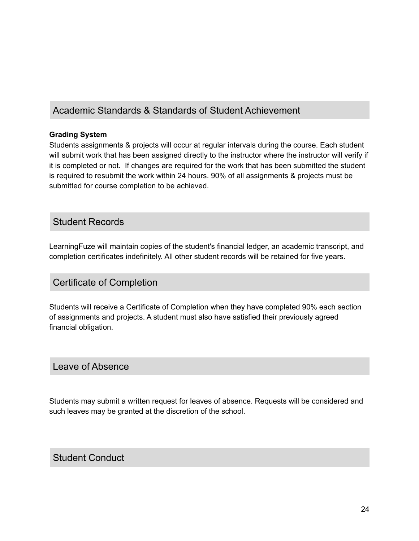# Academic Standards & Standards of Student Achievement

## **Grading System**

Students assignments & projects will occur at regular intervals during the course. Each student will submit work that has been assigned directly to the instructor where the instructor will verify if it is completed or not. If changes are required for the work that has been submitted the student is required to resubmit the work within 24 hours. 90% of all assignments & projects must be submitted for course completion to be achieved.

# Student Records

LearningFuze will maintain copies of the student's financial ledger, an academic transcript, and completion certificates indefinitely. All other student records will be retained for five years.

# Certificate of Completion

Students will receive a Certificate of Completion when they have completed 90% each section of assignments and projects. A student must also have satisfied their previously agreed financial obligation.

# Leave of Absence

Students may submit a written request for leaves of absence. Requests will be considered and such leaves may be granted at the discretion of the school.

# Student Conduct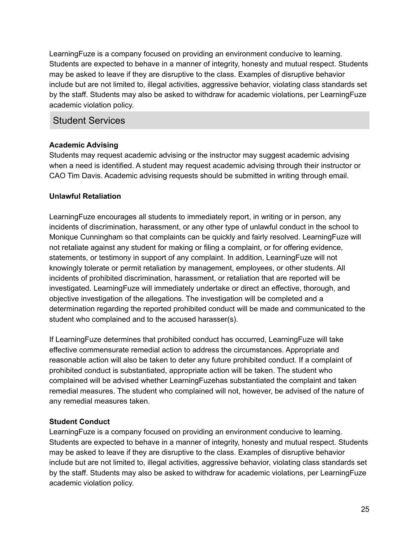LearningFuze is a company focused on providing an environment conducive to learning. Students are expected to behave in a manner of integrity, honesty and mutual respect. Students may be asked to leave if they are disruptive to the class. Examples of disruptive behavior include but are not limited to, illegal activities, aggressive behavior, violating class standards set by the staff. Students may also be asked to withdraw for academic violations, per LearningFuze academic violation policy.

# Student Services

### **Academic Advising**

Students may request academic advising or the instructor may suggest academic advising when a need is identified. A student may request academic advising through their instructor or CAO Tim Davis. Academic advising requests should be submitted in writing through email.

### **Unlawful Retaliation**

LearningFuze encourages all students to immediately report, in writing or in person, any incidents of discrimination, harassment, or any other type of unlawful conduct in the school to Monique Cunningham so that complaints can be quickly and fairly resolved. LearningFuze will not retaliate against any student for making or filing a complaint, or for offering evidence, statements, or testimony in support of any complaint. In addition, LearningFuze will not knowingly tolerate or permit retaliation by management, employees, or other students. All incidents of prohibited discrimination, harassment, or retaliation that are reported will be investigated. LearningFuze will immediately undertake or direct an effective, thorough, and objective investigation of the allegations. The investigation will be completed and a determination regarding the reported prohibited conduct will be made and communicated to the student who complained and to the accused harasser(s).

If LearningFuze determines that prohibited conduct has occurred, LearningFuze will take effective commensurate remedial action to address the circumstances. Appropriate and reasonable action will also be taken to deter any future prohibited conduct. If a complaint of prohibited conduct is substantiated, appropriate action will be taken. The student who complained will be advised whether LearningFuzehas substantiated the complaint and taken remedial measures. The student who complained will not, however, be advised of the nature of any remedial measures taken.

## **Student Conduct**

LearningFuze is a company focused on providing an environment conducive to learning. Students are expected to behave in a manner of integrity, honesty and mutual respect. Students may be asked to leave if they are disruptive to the class. Examples of disruptive behavior include but are not limited to, illegal activities, aggressive behavior, violating class standards set by the staff. Students may also be asked to withdraw for academic violations, per LearningFuze academic violation policy.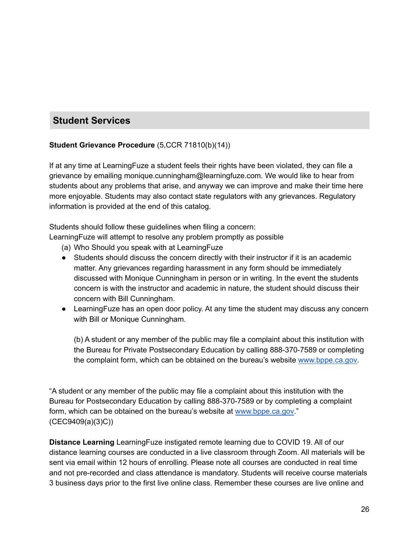# **Student Services**

# **Student Grievance Procedure** (5,CCR 71810(b)(14))

If at any time at LearningFuze a student feels their rights have been violated, they can file a grievance by emailing monique.cunningham@learningfuze.com. We would like to hear from students about any problems that arise, and anyway we can improve and make their time here more enjoyable. Students may also contact state regulators with any grievances. Regulatory information is provided at the end of this catalog.

Students should follow these guidelines when filing a concern:

LearningFuze will attempt to resolve any problem promptly as possible

(a) Who Should you speak with at LearningFuze

- Students should discuss the concern directly with their instructor if it is an academic matter. Any grievances regarding harassment in any form should be immediately discussed with Monique Cunningham in person or in writing. In the event the students concern is with the instructor and academic in nature, the student should discuss their concern with Bill Cunningham.
- Learning Fuze has an open door policy. At any time the student may discuss any concern with Bill or Monique Cunningham.

(b) A student or any member of the public may file a complaint about this institution with the Bureau for Private Postsecondary Education by calling 888-370-7589 or completing the complaint form, which can be obtained on the bureau's website [www.bppe.ca.gov](http://www.bppe.ca.gov).

"A student or any member of the public may file a complaint about this institution with the Bureau for Postsecondary Education by calling 888-370-7589 or by completing a complaint form, which can be obtained on the bureau's website at [www.bppe.ca.gov.](http://www.bppe.ca.gov)" (CEC9409(a)(3)C))

**Distance Learning** LearningFuze instigated remote learning due to COVID 19. All of our distance learning courses are conducted in a live classroom through Zoom. All materials will be sent via email within 12 hours of enrolling. Please note all courses are conducted in real time and not pre-recorded and class attendance is mandatory. Students will receive course materials 3 business days prior to the first live online class. Remember these courses are live online and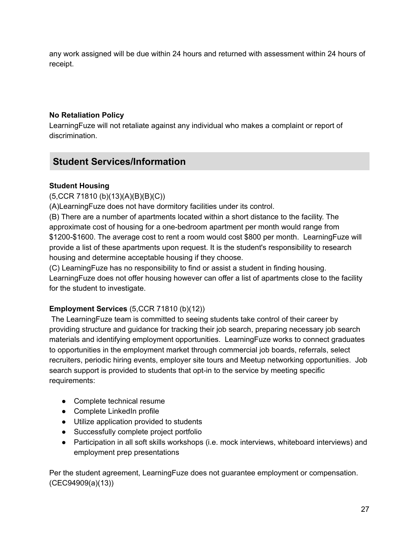any work assigned will be due within 24 hours and returned with assessment within 24 hours of receipt.

# **No Retaliation Policy**

LearningFuze will not retaliate against any individual who makes a complaint or report of discrimination.

# **Student Services/Information**

# **Student Housing**

(5,CCR 71810 (b)(13)(A)(B)(B)(C))

(A)LearningFuze does not have dormitory facilities under its control.

(B) There are a number of apartments located within a short distance to the facility. The approximate cost of housing for a one-bedroom apartment per month would range from \$1200-\$1600. The average cost to rent a room would cost \$800 per month. LearningFuze will provide a list of these apartments upon request. It is the student's responsibility to research housing and determine acceptable housing if they choose.

(C) LearningFuze has no responsibility to find or assist a student in finding housing. LearningFuze does not offer housing however can offer a list of apartments close to the facility for the student to investigate.

# **Employment Services** (5,CCR 71810 (b)(12))

The LearningFuze team is committed to seeing students take control of their career by providing structure and guidance for tracking their job search, preparing necessary job search materials and identifying employment opportunities. LearningFuze works to connect graduates to opportunities in the employment market through commercial job boards, referrals, select recruiters, periodic hiring events, employer site tours and Meetup networking opportunities. Job search support is provided to students that opt-in to the service by meeting specific requirements:

- Complete technical resume
- Complete LinkedIn profile
- Utilize application provided to students
- Successfully complete project portfolio
- Participation in all soft skills workshops (i.e. mock interviews, whiteboard interviews) and employment prep presentations

Per the student agreement, LearningFuze does not guarantee employment or compensation. (CEC94909(a)(13))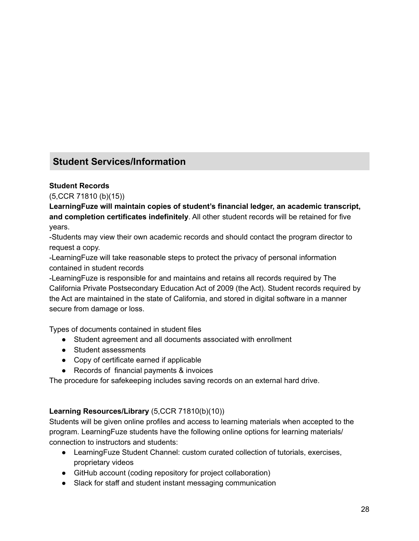# **Student Services/Information**

# **Student Records**

(5,CCR 71810 (b)(15))

**LearningFuze will maintain copies of student's financial ledger, an academic transcript, and completion certificates indefinitely**. All other student records will be retained for five years.

-Students may view their own academic records and should contact the program director to request a copy.

-LearningFuze will take reasonable steps to protect the privacy of personal information contained in student records

-LearningFuze is responsible for and maintains and retains all records required by The California Private Postsecondary Education Act of 2009 (the Act). Student records required by the Act are maintained in the state of California, and stored in digital software in a manner secure from damage or loss.

Types of documents contained in student files

- Student agreement and all documents associated with enrollment
- Student assessments
- Copy of certificate earned if applicable
- Records of financial payments & invoices

The procedure for safekeeping includes saving records on an external hard drive.

## **Learning Resources/Library** (5,CCR 71810(b)(10))

Students will be given online profiles and access to learning materials when accepted to the program. LearningFuze students have the following online options for learning materials/ connection to instructors and students:

- LearningFuze Student Channel: custom curated collection of tutorials, exercises, proprietary videos
- GitHub account (coding repository for project collaboration)
- Slack for staff and student instant messaging communication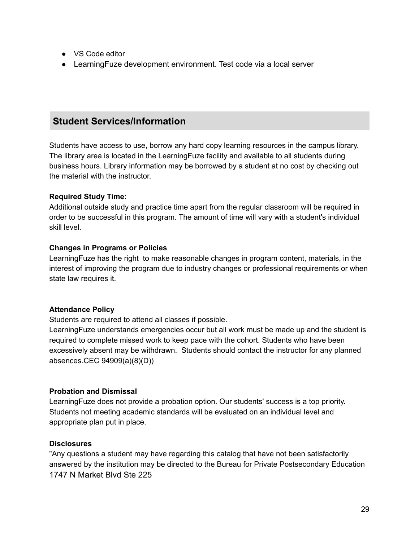- VS Code editor
- Learning Fuze development environment. Test code via a local server

# **Student Services/Information**

Students have access to use, borrow any hard copy learning resources in the campus library. The library area is located in the LearningFuze facility and available to all students during business hours. Library information may be borrowed by a student at no cost by checking out the material with the instructor.

### **Required Study Time:**

Additional outside study and practice time apart from the regular classroom will be required in order to be successful in this program. The amount of time will vary with a student's individual skill level.

### **Changes in Programs or Policies**

LearningFuze has the right to make reasonable changes in program content, materials, in the interest of improving the program due to industry changes or professional requirements or when state law requires it.

## **Attendance Policy**

Students are required to attend all classes if possible.

LearningFuze understands emergencies occur but all work must be made up and the student is required to complete missed work to keep pace with the cohort. Students who have been excessively absent may be withdrawn. Students should contact the instructor for any planned absences.CEC 94909(a)(8)(D))

## **Probation and Dismissal**

LearningFuze does not provide a probation option. Our students' success is a top priority. Students not meeting academic standards will be evaluated on an individual level and appropriate plan put in place.

#### **Disclosures**

"Any questions a student may have regarding this catalog that have not been satisfactorily answered by the institution may be directed to the Bureau for Private Postsecondary Education 1747 N Market Blvd Ste 225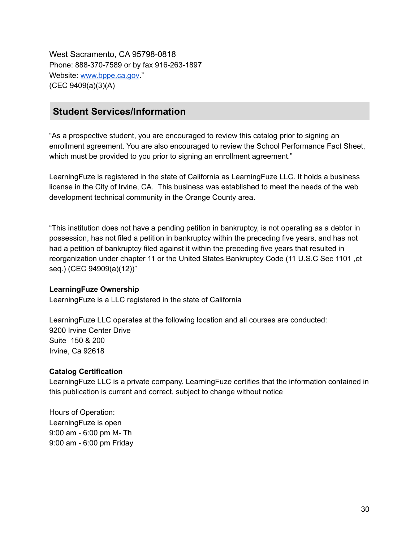West Sacramento, CA 95798-0818 Phone: 888-370-7589 or by fax 916-263-1897 Website: [www.bppe.ca.gov.](http://www.bppe.ca.gov)" (CEC 9409(a)(3)(A)

# **Student Services/Information**

"As a prospective student, you are encouraged to review this catalog prior to signing an enrollment agreement. You are also encouraged to review the School Performance Fact Sheet, which must be provided to you prior to signing an enrollment agreement."

LearningFuze is registered in the state of California as LearningFuze LLC. It holds a business license in the City of Irvine, CA. This business was established to meet the needs of the web development technical community in the Orange County area.

"This institution does not have a pending petition in bankruptcy, is not operating as a debtor in possession, has not filed a petition in bankruptcy within the preceding five years, and has not had a petition of bankruptcy filed against it within the preceding five years that resulted in reorganization under chapter 11 or the United States Bankruptcy Code (11 U.S.C Sec 1101 ,et seq.) (CEC 94909(a)(12))"

#### **LearningFuze Ownership**

LearningFuze is a LLC registered in the state of California

LearningFuze LLC operates at the following location and all courses are conducted: 9200 Irvine Center Drive Suite 150 & 200 Irvine, Ca 92618

#### **Catalog Certification**

LearningFuze LLC is a private company. LearningFuze certifies that the information contained in this publication is current and correct, subject to change without notice

Hours of Operation: LearningFuze is open 9:00 am - 6:00 pm M- Th 9:00 am - 6:00 pm Friday